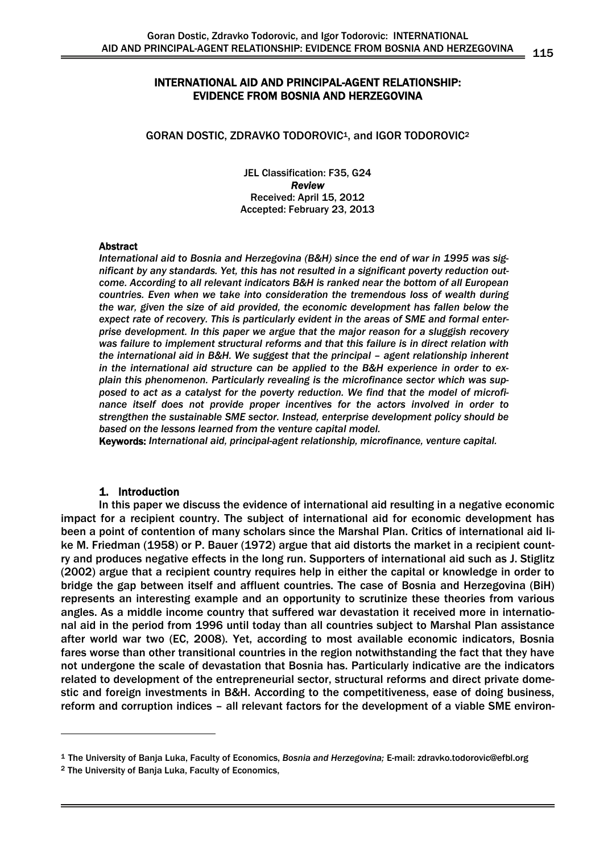# INTERNATIONAL AID AND PRINCIPAL-AGENT RELATIONSHIP: EVIDENCE FROM BOSNIA AND HERZEGOVINA

#### GORAN DOSTIC, ZDRAVKO TODOROVIC<sup>1</sup>, and IGOR TODOROVIC<sup>2</sup>

JEL Classification: F35, G24 *Review*  Received: April 15, 2012 Accepted: February 23, 2013

#### Abstract

*International aid to Bosnia and Herzegovina (B&H) since the end of war in 1995 was significant by any standards. Yet, this has not resulted in a significant poverty reduction outcome. According to all relevant indicators B&H is ranked near the bottom of all European countries. Even when we take into consideration the tremendous loss of wealth during the war, given the size of aid provided, the economic development has fallen below the expect rate of recovery. This is particularly evident in the areas of SME and formal enterprise development. In this paper we argue that the major reason for a sluggish recovery was failure to implement structural reforms and that this failure is in direct relation with the international aid in B&H. We suggest that the principal – agent relationship inherent in the international aid structure can be applied to the B&H experience in order to explain this phenomenon. Particularly revealing is the microfinance sector which was supposed to act as a catalyst for the poverty reduction. We find that the model of microfinance itself does not provide proper incentives for the actors involved in order to strengthen the sustainable SME sector. Instead, enterprise development policy should be based on the lessons learned from the venture capital model.* 

Keywords: *International aid, principal-agent relationship, microfinance, venture capital.*

### 1. Introduction

In this paper we discuss the evidence of international aid resulting in a negative economic impact for a recipient country. The subject of international aid for economic development has been a point of contention of many scholars since the Marshal Plan. Critics of international aid like M. Friedman (1958) or P. Bauer (1972) argue that aid distorts the market in a recipient country and produces negative effects in the long run. Supporters of international aid such as J. Stiglitz (2002) argue that a recipient country requires help in either the capital or knowledge in order to bridge the gap between itself and affluent countries. The case of Bosnia and Herzegovina (BiH) represents an interesting example and an opportunity to scrutinize these theories from various angles. As a middle income country that suffered war devastation it received more in international aid in the period from 1996 until today than all countries subject to Marshal Plan assistance after world war two (EC, 2008). Yet, according to most available economic indicators, Bosnia fares worse than other transitional countries in the region notwithstanding the fact that they have not undergone the scale of devastation that Bosnia has. Particularly indicative are the indicators related to development of the entrepreneurial sector, structural reforms and direct private domestic and foreign investments in B&H. According to the competitiveness, ease of doing business, reform and corruption indices – all relevant factors for the development of a viable SME environ-

-

<sup>&</sup>lt;sup>1</sup> The University of Banja Luka, Faculty of Economics, *Bosnia and Herzegovina;* E-mail: zdravko.todorovic@efbl.org 2<br><sup>2</sup> The University of Bania Luka. Faculty of Economics.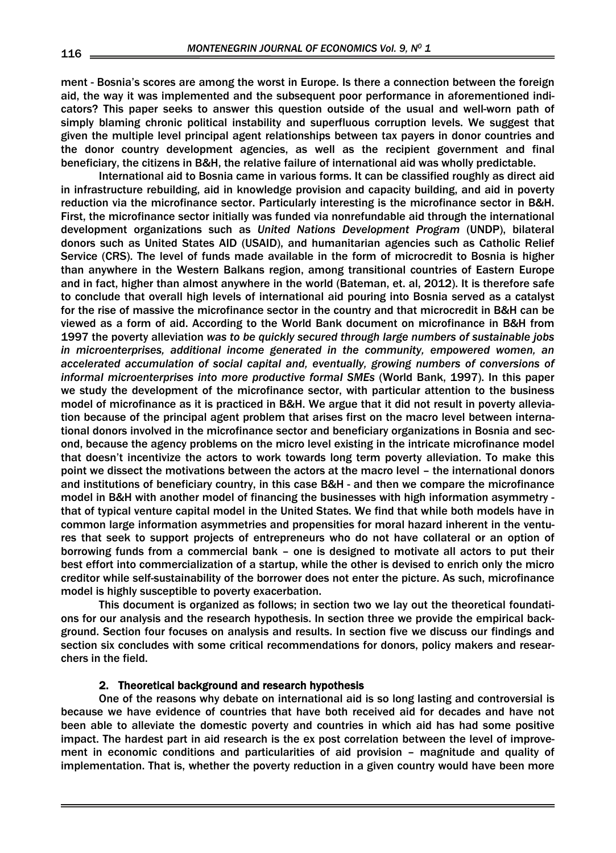ment - Bosnia's scores are among the worst in Europe. Is there a connection between the foreign aid, the way it was implemented and the subsequent poor performance in aforementioned indicators? This paper seeks to answer this question outside of the usual and well-worn path of simply blaming chronic political instability and superfluous corruption levels. We suggest that given the multiple level principal agent relationships between tax payers in donor countries and the donor country development agencies, as well as the recipient government and final beneficiary, the citizens in B&H, the relative failure of international aid was wholly predictable.

International aid to Bosnia came in various forms. It can be classified roughly as direct aid in infrastructure rebuilding, aid in knowledge provision and capacity building, and aid in poverty reduction via the microfinance sector. Particularly interesting is the microfinance sector in B&H. First, the microfinance sector initially was funded via nonrefundable aid through the international development organizations such as *United Nations Development Program* (UNDP), bilateral donors such as United States AID (USAID), and humanitarian agencies such as Catholic Relief Service (CRS). The level of funds made available in the form of microcredit to Bosnia is higher than anywhere in the Western Balkans region, among transitional countries of Eastern Europe and in fact, higher than almost anywhere in the world (Bateman, et. al, 2012). It is therefore safe to conclude that overall high levels of international aid pouring into Bosnia served as a catalyst for the rise of massive the microfinance sector in the country and that microcredit in B&H can be viewed as a form of aid. According to the World Bank document on microfinance in B&H from 1997 the poverty alleviation *was to be quickly secured through large numbers of sustainable jobs in microenterprises, additional income generated in the community, empowered women, an*  accelerated accumulation of social capital and, eventually, growing numbers of conversions of *informal microenterprises into more productive formal SMEs* (World Bank, 1997). In this paper we study the development of the microfinance sector, with particular attention to the business model of microfinance as it is practiced in B&H. We argue that it did not result in poverty alleviation because of the principal agent problem that arises first on the macro level between international donors involved in the microfinance sector and beneficiary organizations in Bosnia and second, because the agency problems on the micro level existing in the intricate microfinance model that doesn't incentivize the actors to work towards long term poverty alleviation. To make this point we dissect the motivations between the actors at the macro level – the international donors and institutions of beneficiary country, in this case B&H - and then we compare the microfinance model in B&H with another model of financing the businesses with high information asymmetry that of typical venture capital model in the United States. We find that while both models have in common large information asymmetries and propensities for moral hazard inherent in the ventures that seek to support projects of entrepreneurs who do not have collateral or an option of borrowing funds from a commercial bank – one is designed to motivate all actors to put their best effort into commercialization of a startup, while the other is devised to enrich only the micro creditor while self-sustainability of the borrower does not enter the picture. As such, microfinance model is highly susceptible to poverty exacerbation.

This document is organized as follows; in section two we lay out the theoretical foundations for our analysis and the research hypothesis. In section three we provide the empirical background. Section four focuses on analysis and results. In section five we discuss our findings and section six concludes with some critical recommendations for donors, policy makers and researchers in the field.

# 2. Theoretical background and research hypothesis

One of the reasons why debate on international aid is so long lasting and controversial is because we have evidence of countries that have both received aid for decades and have not been able to alleviate the domestic poverty and countries in which aid has had some positive impact. The hardest part in aid research is the ex post correlation between the level of improvement in economic conditions and particularities of aid provision – magnitude and quality of implementation. That is, whether the poverty reduction in a given country would have been more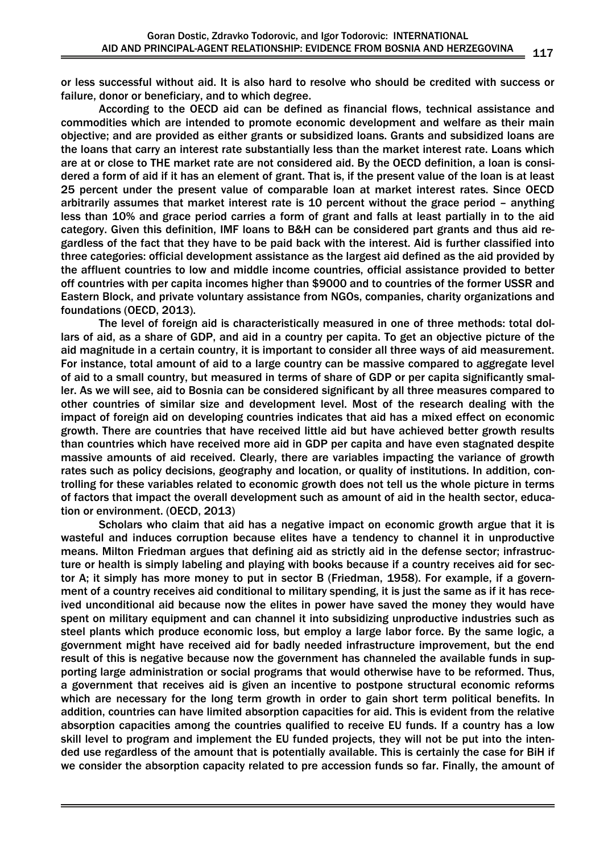or less successful without aid. It is also hard to resolve who should be credited with success or failure, donor or beneficiary, and to which degree.

According to the OECD aid can be defined as financial flows, technical assistance and commodities which are intended to promote economic development and welfare as their main objective; and are provided as either grants or subsidized loans. Grants and subsidized loans are the loans that carry an interest rate substantially less than the market interest rate. Loans which are at or close to THE market rate are not considered aid. By the OECD definition, a loan is considered a form of aid if it has an element of grant. That is, if the present value of the loan is at least 25 percent under the present value of comparable loan at market interest rates. Since OECD arbitrarily assumes that market interest rate is 10 percent without the grace period – anything less than 10% and grace period carries a form of grant and falls at least partially in to the aid category. Given this definition, IMF loans to B&H can be considered part grants and thus aid regardless of the fact that they have to be paid back with the interest. Aid is further classified into three categories: official development assistance as the largest aid defined as the aid provided by the affluent countries to low and middle income countries, official assistance provided to better off countries with per capita incomes higher than \$9000 and to countries of the former USSR and Eastern Block, and private voluntary assistance from NGOs, companies, charity organizations and foundations (OECD, 2013).

The level of foreign aid is characteristically measured in one of three methods: total dollars of aid, as a share of GDP, and aid in a country per capita. To get an objective picture of the aid magnitude in a certain country, it is important to consider all three ways of aid measurement. For instance, total amount of aid to a large country can be massive compared to aggregate level of aid to a small country, but measured in terms of share of GDP or per capita significantly smaller. As we will see, aid to Bosnia can be considered significant by all three measures compared to other countries of similar size and development level. Most of the research dealing with the impact of foreign aid on developing countries indicates that aid has a mixed effect on economic growth. There are countries that have received little aid but have achieved better growth results than countries which have received more aid in GDP per capita and have even stagnated despite massive amounts of aid received. Clearly, there are variables impacting the variance of growth rates such as policy decisions, geography and location, or quality of institutions. In addition, controlling for these variables related to economic growth does not tell us the whole picture in terms of factors that impact the overall development such as amount of aid in the health sector, education or environment. (OECD, 2013)

Scholars who claim that aid has a negative impact on economic growth argue that it is wasteful and induces corruption because elites have a tendency to channel it in unproductive means. Milton Friedman argues that defining aid as strictly aid in the defense sector; infrastructure or health is simply labeling and playing with books because if a country receives aid for sector A; it simply has more money to put in sector B (Friedman, 1958). For example, if a government of a country receives aid conditional to military spending, it is just the same as if it has received unconditional aid because now the elites in power have saved the money they would have spent on military equipment and can channel it into subsidizing unproductive industries such as steel plants which produce economic loss, but employ a large labor force. By the same logic, a government might have received aid for badly needed infrastructure improvement, but the end result of this is negative because now the government has channeled the available funds in supporting large administration or social programs that would otherwise have to be reformed. Thus, a government that receives aid is given an incentive to postpone structural economic reforms which are necessary for the long term growth in order to gain short term political benefits. In addition, countries can have limited absorption capacities for aid. This is evident from the relative absorption capacities among the countries qualified to receive EU funds. If a country has a low skill level to program and implement the EU funded projects, they will not be put into the intended use regardless of the amount that is potentially available. This is certainly the case for BiH if we consider the absorption capacity related to pre accession funds so far. Finally, the amount of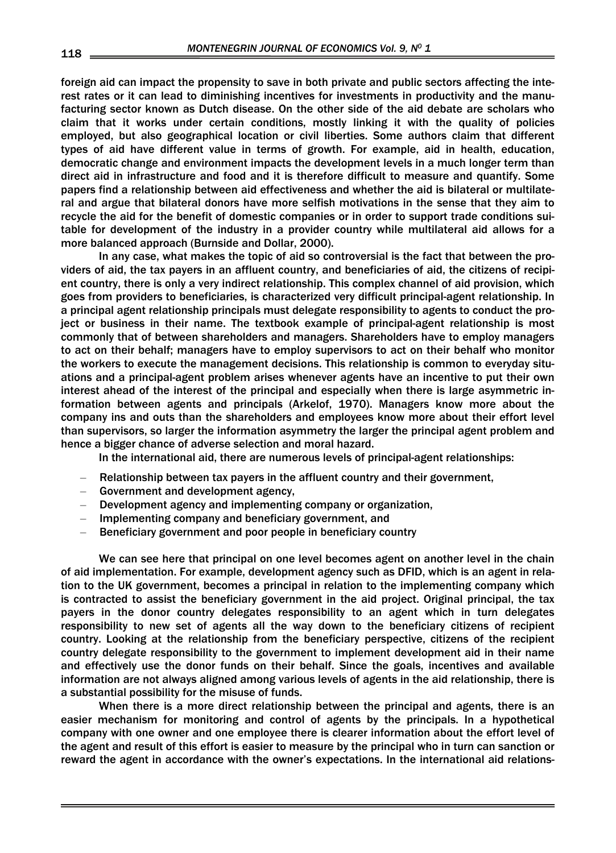foreign aid can impact the propensity to save in both private and public sectors affecting the interest rates or it can lead to diminishing incentives for investments in productivity and the manufacturing sector known as Dutch disease. On the other side of the aid debate are scholars who claim that it works under certain conditions, mostly linking it with the quality of policies employed, but also geographical location or civil liberties. Some authors claim that different types of aid have different value in terms of growth. For example, aid in health, education, democratic change and environment impacts the development levels in a much longer term than direct aid in infrastructure and food and it is therefore difficult to measure and quantify. Some papers find a relationship between aid effectiveness and whether the aid is bilateral or multilateral and argue that bilateral donors have more selfish motivations in the sense that they aim to recycle the aid for the benefit of domestic companies or in order to support trade conditions suitable for development of the industry in a provider country while multilateral aid allows for a more balanced approach (Burnside and Dollar, 2000).

In any case, what makes the topic of aid so controversial is the fact that between the providers of aid, the tax payers in an affluent country, and beneficiaries of aid, the citizens of recipient country, there is only a very indirect relationship. This complex channel of aid provision, which goes from providers to beneficiaries, is characterized very difficult principal-agent relationship. In a principal agent relationship principals must delegate responsibility to agents to conduct the project or business in their name. The textbook example of principal-agent relationship is most commonly that of between shareholders and managers. Shareholders have to employ managers to act on their behalf; managers have to employ supervisors to act on their behalf who monitor the workers to execute the management decisions. This relationship is common to everyday situations and a principal-agent problem arises whenever agents have an incentive to put their own interest ahead of the interest of the principal and especially when there is large asymmetric information between agents and principals (Arkelof, 1970). Managers know more about the company ins and outs than the shareholders and employees know more about their effort level than supervisors, so larger the information asymmetry the larger the principal agent problem and hence a bigger chance of adverse selection and moral hazard.

In the international aid, there are numerous levels of principal-agent relationships:

- Relationship between tax payers in the affluent country and their government,
- Government and development agency,
- Development agency and implementing company or organization,
- Implementing company and beneficiary government, and
- Beneficiary government and poor people in beneficiary country

We can see here that principal on one level becomes agent on another level in the chain of aid implementation. For example, development agency such as DFID, which is an agent in relation to the UK government, becomes a principal in relation to the implementing company which is contracted to assist the beneficiary government in the aid project. Original principal, the tax payers in the donor country delegates responsibility to an agent which in turn delegates responsibility to new set of agents all the way down to the beneficiary citizens of recipient country. Looking at the relationship from the beneficiary perspective, citizens of the recipient country delegate responsibility to the government to implement development aid in their name and effectively use the donor funds on their behalf. Since the goals, incentives and available information are not always aligned among various levels of agents in the aid relationship, there is a substantial possibility for the misuse of funds.

When there is a more direct relationship between the principal and agents, there is an easier mechanism for monitoring and control of agents by the principals. In a hypothetical company with one owner and one employee there is clearer information about the effort level of the agent and result of this effort is easier to measure by the principal who in turn can sanction or reward the agent in accordance with the owner's expectations. In the international aid relations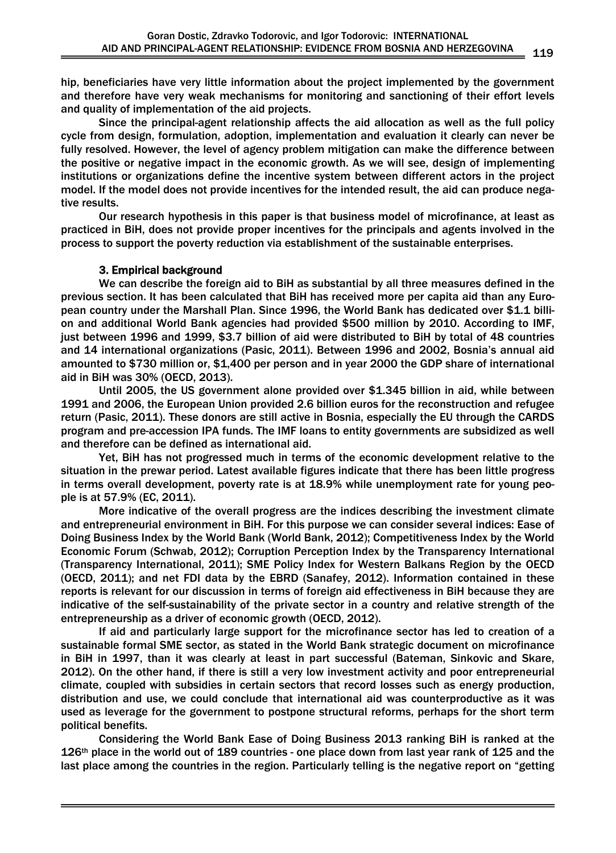hip, beneficiaries have very little information about the project implemented by the government and therefore have very weak mechanisms for monitoring and sanctioning of their effort levels and quality of implementation of the aid projects.

Since the principal-agent relationship affects the aid allocation as well as the full policy cycle from design, formulation, adoption, implementation and evaluation it clearly can never be fully resolved. However, the level of agency problem mitigation can make the difference between the positive or negative impact in the economic growth. As we will see, design of implementing institutions or organizations define the incentive system between different actors in the project model. If the model does not provide incentives for the intended result, the aid can produce negative results.

Our research hypothesis in this paper is that business model of microfinance, at least as practiced in BiH, does not provide proper incentives for the principals and agents involved in the process to support the poverty reduction via establishment of the sustainable enterprises.

# 3. Empirical background

We can describe the foreign aid to BiH as substantial by all three measures defined in the previous section. It has been calculated that BiH has received more per capita aid than any European country under the Marshall Plan. Since 1996, the World Bank has dedicated over \$1.1 billion and additional World Bank agencies had provided \$500 million by 2010. According to IMF, just between 1996 and 1999, \$3.7 billion of aid were distributed to BiH by total of 48 countries and 14 international organizations (Pasic, 2011). Between 1996 and 2002, Bosnia's annual aid amounted to \$730 million or, \$1,400 per person and in year 2000 the GDP share of international aid in BiH was 30% (OECD, 2013).

Until 2005, the US government alone provided over \$1.345 billion in aid, while between 1991 and 2006, the European Union provided 2.6 billion euros for the reconstruction and refugee return (Pasic, 2011). These donors are still active in Bosnia, especially the EU through the CARDS program and pre-accession IPA funds. The IMF loans to entity governments are subsidized as well and therefore can be defined as international aid.

Yet, BiH has not progressed much in terms of the economic development relative to the situation in the prewar period. Latest available figures indicate that there has been little progress in terms overall development, poverty rate is at 18.9% while unemployment rate for young people is at 57.9% (EC, 2011).

More indicative of the overall progress are the indices describing the investment climate and entrepreneurial environment in BiH. For this purpose we can consider several indices: Ease of Doing Business Index by the World Bank (World Bank, 2012); Competitiveness Index by the World Economic Forum (Schwab, 2012); Corruption Perception Index by the Transparency International (Transparency International, 2011); SME Policy Index for Western Balkans Region by the OECD (OECD, 2011); and net FDI data by the EBRD (Sanafey, 2012). Information contained in these reports is relevant for our discussion in terms of foreign aid effectiveness in BiH because they are indicative of the self-sustainability of the private sector in a country and relative strength of the entrepreneurship as a driver of economic growth (OECD, 2012).

If aid and particularly large support for the microfinance sector has led to creation of a sustainable formal SME sector, as stated in the World Bank strategic document on microfinance in BiH in 1997, than it was clearly at least in part successful (Bateman, Sinkovic and Skare, 2012). On the other hand, if there is still a very low investment activity and poor entrepreneurial climate, coupled with subsidies in certain sectors that record losses such as energy production, distribution and use, we could conclude that international aid was counterproductive as it was used as leverage for the government to postpone structural reforms, perhaps for the short term political benefits.

Considering the World Bank Ease of Doing Business 2013 ranking BiH is ranked at the 126<sup>th</sup> place in the world out of 189 countries - one place down from last year rank of 125 and the last place among the countries in the region. Particularly telling is the negative report on "getting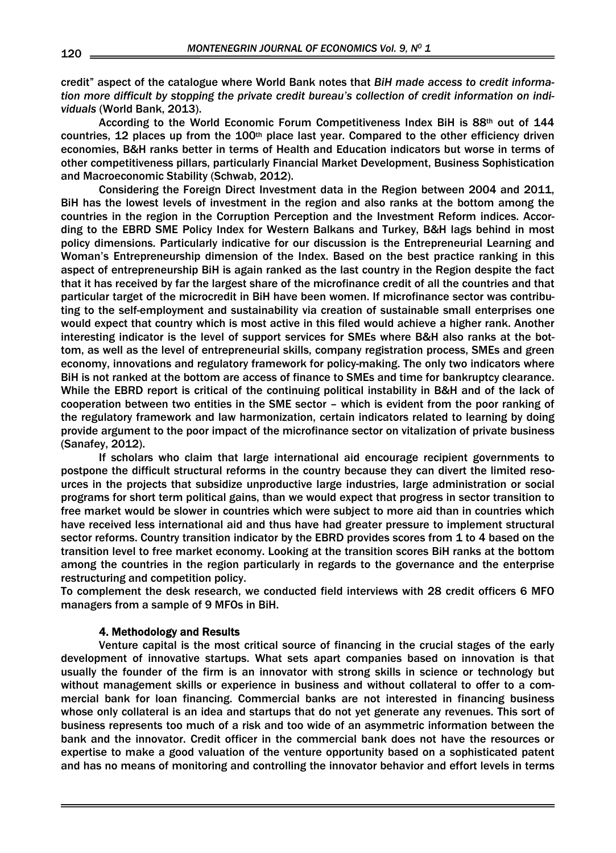credit" aspect of the catalogue where World Bank notes that *BiH made access to credit information more difficult by stopping the private credit bureau's collection of credit information on individuals* (World Bank, 2013).

According to the World Economic Forum Competitiveness Index BiH is 88th out of 144 countries, 12 places up from the 100<sup>th</sup> place last year. Compared to the other efficiency driven economies, B&H ranks better in terms of Health and Education indicators but worse in terms of other competitiveness pillars, particularly Financial Market Development, Business Sophistication and Macroeconomic Stability (Schwab, 2012).

Considering the Foreign Direct Investment data in the Region between 2004 and 2011, BiH has the lowest levels of investment in the region and also ranks at the bottom among the countries in the region in the Corruption Perception and the Investment Reform indices. According to the EBRD SME Policy Index for Western Balkans and Turkey, B&H lags behind in most policy dimensions. Particularly indicative for our discussion is the Entrepreneurial Learning and Woman's Entrepreneurship dimension of the Index. Based on the best practice ranking in this aspect of entrepreneurship BiH is again ranked as the last country in the Region despite the fact that it has received by far the largest share of the microfinance credit of all the countries and that particular target of the microcredit in BiH have been women. If microfinance sector was contributing to the self-employment and sustainability via creation of sustainable small enterprises one would expect that country which is most active in this filed would achieve a higher rank. Another interesting indicator is the level of support services for SMEs where B&H also ranks at the bottom, as well as the level of entrepreneurial skills, company registration process, SMEs and green economy, innovations and regulatory framework for policy-making. The only two indicators where BiH is not ranked at the bottom are access of finance to SMEs and time for bankruptcy clearance. While the EBRD report is critical of the continuing political instability in B&H and of the lack of cooperation between two entities in the SME sector – which is evident from the poor ranking of the regulatory framework and law harmonization, certain indicators related to learning by doing provide argument to the poor impact of the microfinance sector on vitalization of private business (Sanafey, 2012).

If scholars who claim that large international aid encourage recipient governments to postpone the difficult structural reforms in the country because they can divert the limited resources in the projects that subsidize unproductive large industries, large administration or social programs for short term political gains, than we would expect that progress in sector transition to free market would be slower in countries which were subject to more aid than in countries which have received less international aid and thus have had greater pressure to implement structural sector reforms. Country transition indicator by the EBRD provides scores from 1 to 4 based on the transition level to free market economy. Looking at the transition scores BiH ranks at the bottom among the countries in the region particularly in regards to the governance and the enterprise restructuring and competition policy.

To complement the desk research, we conducted field interviews with 28 credit officers 6 MFO managers from a sample of 9 MFOs in BiH.

### 4. Methodology and Results

Venture capital is the most critical source of financing in the crucial stages of the early development of innovative startups. What sets apart companies based on innovation is that usually the founder of the firm is an innovator with strong skills in science or technology but without management skills or experience in business and without collateral to offer to a commercial bank for loan financing. Commercial banks are not interested in financing business whose only collateral is an idea and startups that do not yet generate any revenues. This sort of business represents too much of a risk and too wide of an asymmetric information between the bank and the innovator. Credit officer in the commercial bank does not have the resources or expertise to make a good valuation of the venture opportunity based on a sophisticated patent and has no means of monitoring and controlling the innovator behavior and effort levels in terms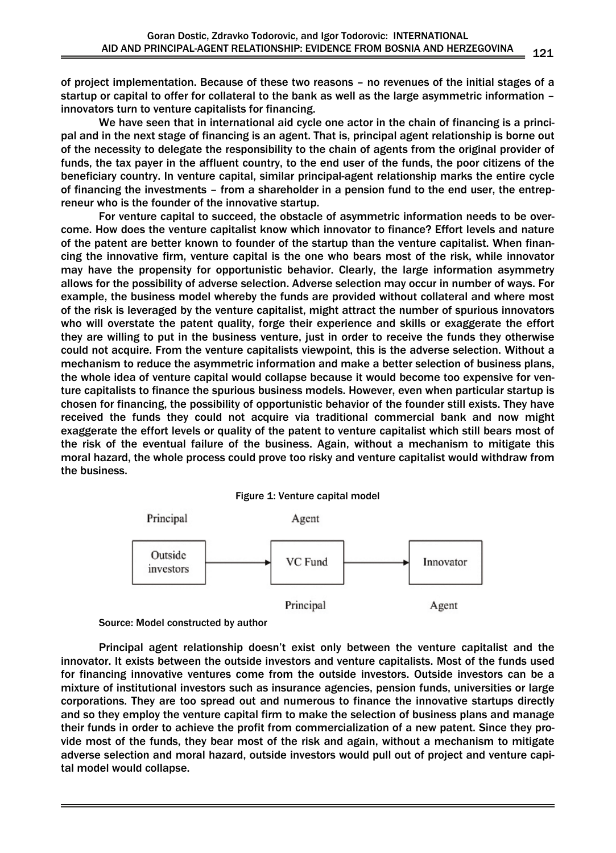of project implementation. Because of these two reasons – no revenues of the initial stages of a startup or capital to offer for collateral to the bank as well as the large asymmetric information – innovators turn to venture capitalists for financing.

We have seen that in international aid cycle one actor in the chain of financing is a principal and in the next stage of financing is an agent. That is, principal agent relationship is borne out of the necessity to delegate the responsibility to the chain of agents from the original provider of funds, the tax payer in the affluent country, to the end user of the funds, the poor citizens of the beneficiary country. In venture capital, similar principal-agent relationship marks the entire cycle of financing the investments – from a shareholder in a pension fund to the end user, the entrepreneur who is the founder of the innovative startup.

For venture capital to succeed, the obstacle of asymmetric information needs to be overcome. How does the venture capitalist know which innovator to finance? Effort levels and nature of the patent are better known to founder of the startup than the venture capitalist. When financing the innovative firm, venture capital is the one who bears most of the risk, while innovator may have the propensity for opportunistic behavior. Clearly, the large information asymmetry allows for the possibility of adverse selection. Adverse selection may occur in number of ways. For example, the business model whereby the funds are provided without collateral and where most of the risk is leveraged by the venture capitalist, might attract the number of spurious innovators who will overstate the patent quality, forge their experience and skills or exaggerate the effort they are willing to put in the business venture, just in order to receive the funds they otherwise could not acquire. From the venture capitalists viewpoint, this is the adverse selection. Without a mechanism to reduce the asymmetric information and make a better selection of business plans, the whole idea of venture capital would collapse because it would become too expensive for venture capitalists to finance the spurious business models. However, even when particular startup is chosen for financing, the possibility of opportunistic behavior of the founder still exists. They have received the funds they could not acquire via traditional commercial bank and now might exaggerate the effort levels or quality of the patent to venture capitalist which still bears most of the risk of the eventual failure of the business. Again, without a mechanism to mitigate this moral hazard, the whole process could prove too risky and venture capitalist would withdraw from the business.







Principal agent relationship doesn't exist only between the venture capitalist and the innovator. It exists between the outside investors and venture capitalists. Most of the funds used for financing innovative ventures come from the outside investors. Outside investors can be a mixture of institutional investors such as insurance agencies, pension funds, universities or large corporations. They are too spread out and numerous to finance the innovative startups directly and so they employ the venture capital firm to make the selection of business plans and manage their funds in order to achieve the profit from commercialization of a new patent. Since they provide most of the funds, they bear most of the risk and again, without a mechanism to mitigate adverse selection and moral hazard, outside investors would pull out of project and venture capital model would collapse.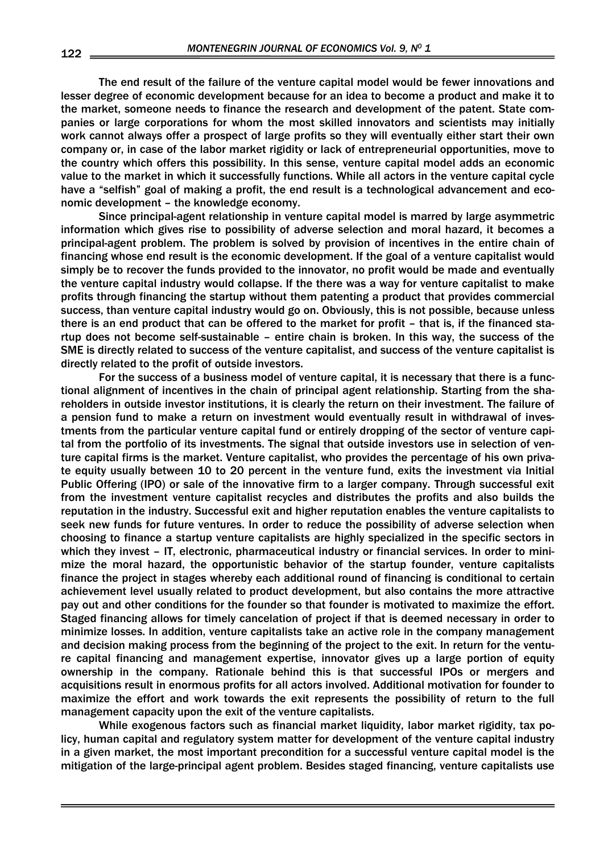The end result of the failure of the venture capital model would be fewer innovations and lesser degree of economic development because for an idea to become a product and make it to the market, someone needs to finance the research and development of the patent. State companies or large corporations for whom the most skilled innovators and scientists may initially work cannot always offer a prospect of large profits so they will eventually either start their own company or, in case of the labor market rigidity or lack of entrepreneurial opportunities, move to the country which offers this possibility. In this sense, venture capital model adds an economic value to the market in which it successfully functions. While all actors in the venture capital cycle have a "selfish" goal of making a profit, the end result is a technological advancement and economic development – the knowledge economy.

Since principal-agent relationship in venture capital model is marred by large asymmetric information which gives rise to possibility of adverse selection and moral hazard, it becomes a principal-agent problem. The problem is solved by provision of incentives in the entire chain of financing whose end result is the economic development. If the goal of a venture capitalist would simply be to recover the funds provided to the innovator, no profit would be made and eventually the venture capital industry would collapse. If the there was a way for venture capitalist to make profits through financing the startup without them patenting a product that provides commercial success, than venture capital industry would go on. Obviously, this is not possible, because unless there is an end product that can be offered to the market for profit – that is, if the financed startup does not become self-sustainable – entire chain is broken. In this way, the success of the SME is directly related to success of the venture capitalist, and success of the venture capitalist is directly related to the profit of outside investors.

For the success of a business model of venture capital, it is necessary that there is a functional alignment of incentives in the chain of principal agent relationship. Starting from the shareholders in outside investor institutions, it is clearly the return on their investment. The failure of a pension fund to make a return on investment would eventually result in withdrawal of investments from the particular venture capital fund or entirely dropping of the sector of venture capital from the portfolio of its investments. The signal that outside investors use in selection of venture capital firms is the market. Venture capitalist, who provides the percentage of his own private equity usually between 10 to 20 percent in the venture fund, exits the investment via Initial Public Offering (IPO) or sale of the innovative firm to a larger company. Through successful exit from the investment venture capitalist recycles and distributes the profits and also builds the reputation in the industry. Successful exit and higher reputation enables the venture capitalists to seek new funds for future ventures. In order to reduce the possibility of adverse selection when choosing to finance a startup venture capitalists are highly specialized in the specific sectors in which they invest – IT, electronic, pharmaceutical industry or financial services. In order to minimize the moral hazard, the opportunistic behavior of the startup founder, venture capitalists finance the project in stages whereby each additional round of financing is conditional to certain achievement level usually related to product development, but also contains the more attractive pay out and other conditions for the founder so that founder is motivated to maximize the effort. Staged financing allows for timely cancelation of project if that is deemed necessary in order to minimize losses. In addition, venture capitalists take an active role in the company management and decision making process from the beginning of the project to the exit. In return for the venture capital financing and management expertise, innovator gives up a large portion of equity ownership in the company. Rationale behind this is that successful IPOs or mergers and acquisitions result in enormous profits for all actors involved. Additional motivation for founder to maximize the effort and work towards the exit represents the possibility of return to the full management capacity upon the exit of the venture capitalists.

While exogenous factors such as financial market liquidity, labor market rigidity, tax policy, human capital and regulatory system matter for development of the venture capital industry in a given market, the most important precondition for a successful venture capital model is the mitigation of the large-principal agent problem. Besides staged financing, venture capitalists use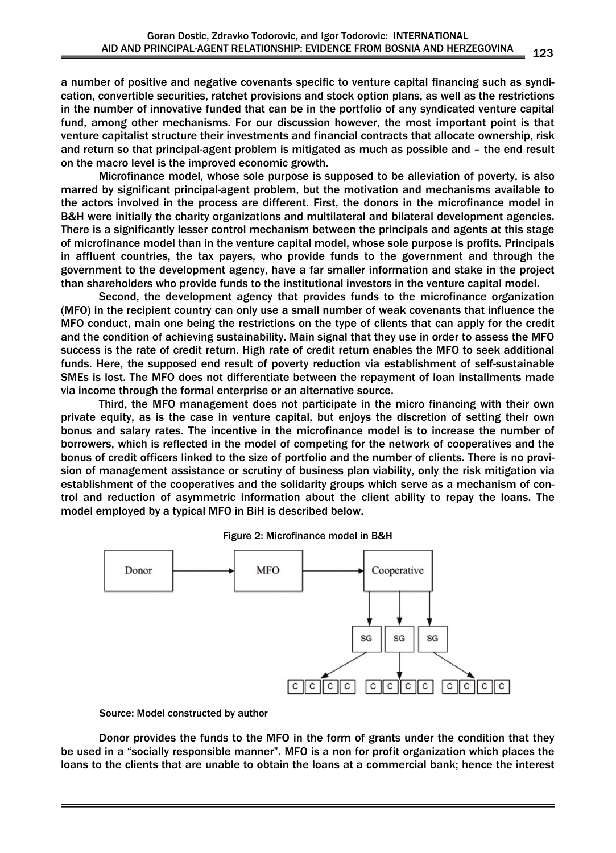a number of positive and negative covenants specific to venture capital financing such as syndication, convertible securities, ratchet provisions and stock option plans, as well as the restrictions in the number of innovative funded that can be in the portfolio of any syndicated venture capital fund, among other mechanisms. For our discussion however, the most important point is that venture capitalist structure their investments and financial contracts that allocate ownership, risk and return so that principal-agent problem is mitigated as much as possible and – the end result on the macro level is the improved economic growth.

Microfinance model, whose sole purpose is supposed to be alleviation of poverty, is also marred by significant principal-agent problem, but the motivation and mechanisms available to the actors involved in the process are different. First, the donors in the microfinance model in B&H were initially the charity organizations and multilateral and bilateral development agencies. There is a significantly lesser control mechanism between the principals and agents at this stage of microfinance model than in the venture capital model, whose sole purpose is profits. Principals in affluent countries, the tax payers, who provide funds to the government and through the government to the development agency, have a far smaller information and stake in the project than shareholders who provide funds to the institutional investors in the venture capital model.

Second, the development agency that provides funds to the microfinance organization (MFO) in the recipient country can only use a small number of weak covenants that influence the MFO conduct, main one being the restrictions on the type of clients that can apply for the credit and the condition of achieving sustainability. Main signal that they use in order to assess the MFO success is the rate of credit return. High rate of credit return enables the MFO to seek additional funds. Here, the supposed end result of poverty reduction via establishment of self-sustainable SMEs is lost. The MFO does not differentiate between the repayment of loan installments made via income through the formal enterprise or an alternative source.

Third, the MFO management does not participate in the micro financing with their own private equity, as is the case in venture capital, but enjoys the discretion of setting their own bonus and salary rates. The incentive in the microfinance model is to increase the number of borrowers, which is reflected in the model of competing for the network of cooperatives and the bonus of credit officers linked to the size of portfolio and the number of clients. There is no provision of management assistance or scrutiny of business plan viability, only the risk mitigation via establishment of the cooperatives and the solidarity groups which serve as a mechanism of control and reduction of asymmetric information about the client ability to repay the loans. The model employed by a typical MFO in BiH is described below.



### Figure 2: Microfinance model in B&H

Source: Model constructed by author

Donor provides the funds to the MFO in the form of grants under the condition that they be used in a "socially responsible manner". MFO is a non for profit organization which places the loans to the clients that are unable to obtain the loans at a commercial bank; hence the interest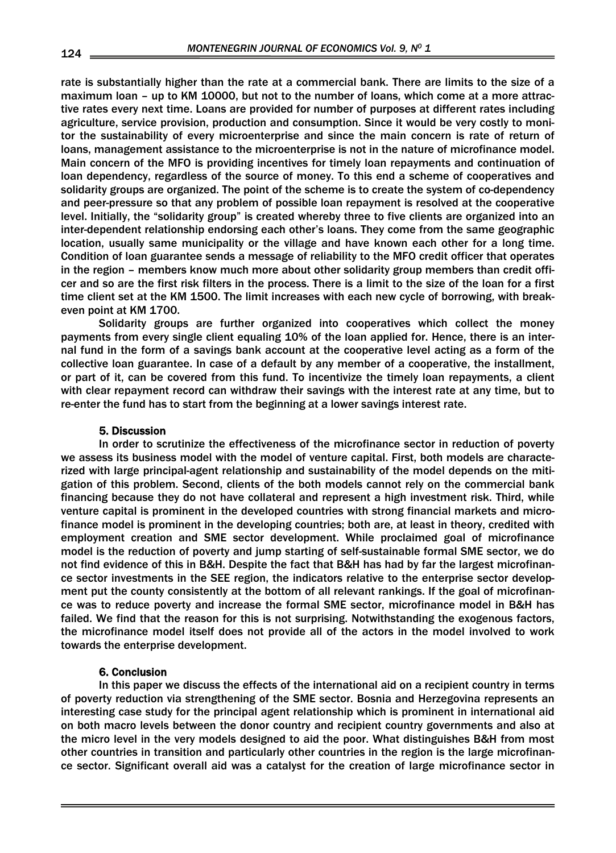rate is substantially higher than the rate at a commercial bank. There are limits to the size of a maximum loan – up to KM 10000, but not to the number of loans, which come at a more attractive rates every next time. Loans are provided for number of purposes at different rates including agriculture, service provision, production and consumption. Since it would be very costly to monitor the sustainability of every microenterprise and since the main concern is rate of return of loans, management assistance to the microenterprise is not in the nature of microfinance model. Main concern of the MFO is providing incentives for timely loan repayments and continuation of loan dependency, regardless of the source of money. To this end a scheme of cooperatives and solidarity groups are organized. The point of the scheme is to create the system of co-dependency and peer-pressure so that any problem of possible loan repayment is resolved at the cooperative level. Initially, the "solidarity group" is created whereby three to five clients are organized into an inter-dependent relationship endorsing each other's loans. They come from the same geographic location, usually same municipality or the village and have known each other for a long time. Condition of loan guarantee sends a message of reliability to the MFO credit officer that operates in the region – members know much more about other solidarity group members than credit officer and so are the first risk filters in the process. There is a limit to the size of the loan for a first time client set at the KM 1500. The limit increases with each new cycle of borrowing, with breakeven point at KM 1700.

Solidarity groups are further organized into cooperatives which collect the money payments from every single client equaling 10% of the loan applied for. Hence, there is an internal fund in the form of a savings bank account at the cooperative level acting as a form of the collective loan guarantee. In case of a default by any member of a cooperative, the installment, or part of it, can be covered from this fund. To incentivize the timely loan repayments, a client with clear repayment record can withdraw their savings with the interest rate at any time, but to re-enter the fund has to start from the beginning at a lower savings interest rate.

# 5. Discussion

In order to scrutinize the effectiveness of the microfinance sector in reduction of poverty we assess its business model with the model of venture capital. First, both models are characterized with large principal-agent relationship and sustainability of the model depends on the mitigation of this problem. Second, clients of the both models cannot rely on the commercial bank financing because they do not have collateral and represent a high investment risk. Third, while venture capital is prominent in the developed countries with strong financial markets and microfinance model is prominent in the developing countries; both are, at least in theory, credited with employment creation and SME sector development. While proclaimed goal of microfinance model is the reduction of poverty and jump starting of self-sustainable formal SME sector, we do not find evidence of this in B&H. Despite the fact that B&H has had by far the largest microfinance sector investments in the SEE region, the indicators relative to the enterprise sector development put the county consistently at the bottom of all relevant rankings. If the goal of microfinance was to reduce poverty and increase the formal SME sector, microfinance model in B&H has failed. We find that the reason for this is not surprising. Notwithstanding the exogenous factors, the microfinance model itself does not provide all of the actors in the model involved to work towards the enterprise development.

### 6. Conclusion

In this paper we discuss the effects of the international aid on a recipient country in terms of poverty reduction via strengthening of the SME sector. Bosnia and Herzegovina represents an interesting case study for the principal agent relationship which is prominent in international aid on both macro levels between the donor country and recipient country governments and also at the micro level in the very models designed to aid the poor. What distinguishes B&H from most other countries in transition and particularly other countries in the region is the large microfinance sector. Significant overall aid was a catalyst for the creation of large microfinance sector in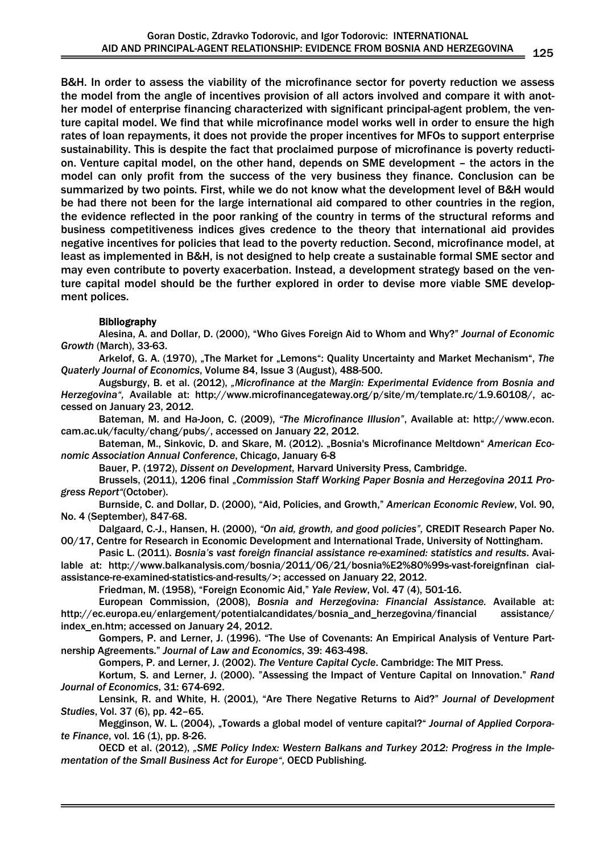B&H. In order to assess the viability of the microfinance sector for poverty reduction we assess the model from the angle of incentives provision of all actors involved and compare it with another model of enterprise financing characterized with significant principal-agent problem, the venture capital model. We find that while microfinance model works well in order to ensure the high rates of loan repayments, it does not provide the proper incentives for MFOs to support enterprise sustainability. This is despite the fact that proclaimed purpose of microfinance is poverty reduction. Venture capital model, on the other hand, depends on SME development – the actors in the model can only profit from the success of the very business they finance. Conclusion can be summarized by two points. First, while we do not know what the development level of B&H would be had there not been for the large international aid compared to other countries in the region, the evidence reflected in the poor ranking of the country in terms of the structural reforms and business competitiveness indices gives credence to the theory that international aid provides negative incentives for policies that lead to the poverty reduction. Second, microfinance model, at least as implemented in B&H, is not designed to help create a sustainable formal SME sector and may even contribute to poverty exacerbation. Instead, a development strategy based on the venture capital model should be the further explored in order to devise more viable SME development polices.

# Bibliography

Alesina, A. and Dollar, D. (2000), "Who Gives Foreign Aid to Whom and Why?" *Journal of Economic Growth* (March), 33-63.

Arkelof, G. A. (1970), "The Market for "Lemons": Quality Uncertainty and Market Mechanism", The *Quaterly Journal of Economics*, Volume 84, Issue 3 (August), 488-500.

Augsburgy, B. et al. (2012), *"Microfinance at the Margin: Experimental Evidence from Bosnia and Herzegovina",* Available at: http://www.microfinancegateway.org/p/site/m/template.rc/1.9.60108/, accessed on January 23, 2012.

Bateman, M. and Ha-Joon, C. (2009), *"The Microfinance Illusion"*, Available at: http://www.econ. cam.ac.uk/faculty/chang/pubs/, accessed on January 22, 2012.

Bateman, M., Sinkovic, D. and Skare, M. (2012). "Bosnia's Microfinance Meltdown" *American Economic Association Annual Conference*, Chicago, January 6-8

Bauer, P. (1972), *Dissent on Development*, Harvard University Press, Cambridge.

Brussels, (2011), 1206 final "*Commission Staff Working Paper Bosnia and Herzegovina 2011 Progress Report"*(October).

Burnside, C. and Dollar, D. (2000), "Aid, Policies, and Growth," *American Economic Review*, Vol. 90, No. 4 (September), 847-68.

Dalgaard, C.-J., Hansen, H. (2000), *"On aid, growth, and good policies",* CREDIT Research Paper No. 00/17, Centre for Research in Economic Development and International Trade, University of Nottingham.

Pasic L. (2011). *Bosnia's vast foreign financial assistance re-examined: statistics and results*. Available at: http://www.balkanalysis.com/bosnia/2011/06/21/bosnia%E2%80%99s-vast-foreignfinan cialassistance-re-examined-statistics-and-results/>; accessed on January 22, 2012.

Friedman, M. (1958), "Foreign Economic Aid," *Yale Review*, Vol. 47 (4), 501-16.

European Commission, (2008), *Bosnia and Herzegovina: Financial Assistance.* Available at: http://ec.europa.eu/enlargement/potentialcandidates/bosnia\_and\_herzegovina/financial assistance/ index en.htm; accessed on January 24, 2012.

Gompers, P. and Lerner, J. (1996). "The Use of Covenants: An Empirical Analysis of Venture Partnership Agreements." *Journal of Law and Economics*, 39: 463-498.

Gompers, P. and Lerner, J. (2002). *The Venture Capital Cycle*. Cambridge: The MIT Press.

Kortum, S. and Lerner, J. (2000). "Assessing the Impact of Venture Capital on Innovation." *Rand Journal of Economics*, 31: 674-692.

Lensink, R. and White, H. (2001), "Are There Negative Returns to Aid?" *Journal of Development Studies*, Vol. 37 (6), pp. 42–65.

Megginson, W. L. (2004), "Towards a global model of venture capital?" *Journal of Applied Corporate Finance*, vol. 16 (1), pp. 8-26.

OECD et al. (2012), *"SME Policy Index: Western Balkans and Turkey 2012: Progress in the Implementation of the Small Business Act for Europe",* OECD Publishing.